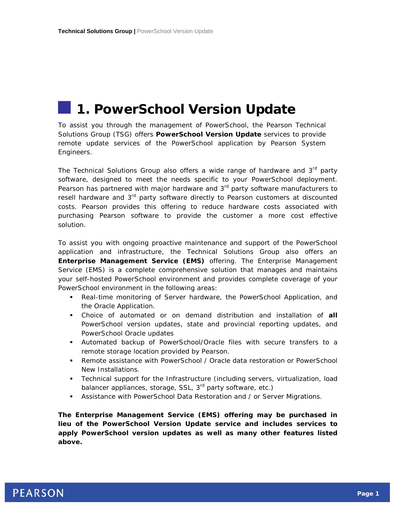# **1. PowerSchool Version Update**

To assist you through the management of PowerSchool, the Pearson Technical Solutions Group (TSG) offers **PowerSchool Version Update** services to provide remote update services of the PowerSchool application by Pearson System Engineers.

The Technical Solutions Group also offers a wide range of hardware and  $3<sup>rd</sup>$  party software, designed to meet the needs specific to your PowerSchool deployment. Pearson has partnered with major hardware and  $3<sup>rd</sup>$  party software manufacturers to resell hardware and 3<sup>rd</sup> party software directly to Pearson customers at discounted costs. Pearson provides this offering to reduce hardware costs associated with purchasing Pearson software to provide the customer a more cost effective solution.

To assist you with ongoing proactive maintenance and support of the PowerSchool application and infrastructure, the Technical Solutions Group also offers an **Enterprise Management Service (EMS)** offering. The Enterprise Management Service (EMS) is a complete comprehensive solution that manages and maintains your self-hosted PowerSchool environment and provides complete coverage of your PowerSchool environment in the following areas:

- Real-time monitoring of Server hardware, the PowerSchool Application, and the Oracle Application.
- Choice of automated or on demand distribution and installation of **all** PowerSchool version updates, state and provincial reporting updates, and PowerSchool Oracle updates
- Automated backup of PowerSchool/Oracle files with secure transfers to a remote storage location provided by Pearson.
- Remote assistance with PowerSchool / Oracle data restoration or PowerSchool New Installations.
- Technical support for the Infrastructure (including servers, virtualization, load balancer appliances, storage, SSL, 3<sup>rd</sup> party software, etc.)
- Assistance with PowerSchool Data Restoration and / or Server Migrations.

**The Enterprise Management Service (EMS) offering may be purchased in lieu of the PowerSchool Version Update service and includes services to apply PowerSchool version updates as well as many other features listed above.**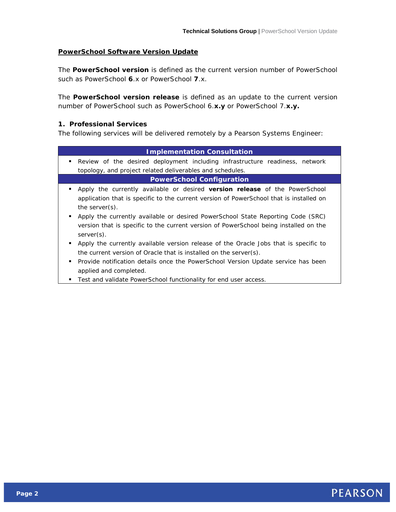### **PowerSchool Software Version Update**

The **PowerSchool version** is defined as the current version number of PowerSchool such as PowerSchool **6**.x or PowerSchool **7**.x.

The **PowerSchool version release** is defined as an update to the current version number of PowerSchool such as PowerSchool 6.**x.y** or PowerSchool 7.**x.y.**

## **1. Professional Services**

The following services will be delivered remotely by a Pearson Systems Engineer:

| <b>Implementation Consultation</b>                                                                                                                                                                                                                  |
|-----------------------------------------------------------------------------------------------------------------------------------------------------------------------------------------------------------------------------------------------------|
| Review of the desired deployment including infrastructure readiness, network<br>٠                                                                                                                                                                   |
| topology, and project related deliverables and schedules.                                                                                                                                                                                           |
| <b>PowerSchool Configuration</b>                                                                                                                                                                                                                    |
| Apply the currently available or desired version release of the PowerSchool<br>application that is specific to the current version of PowerSchool that is installed on<br>the server $(s)$ .                                                        |
| Apply the currently available or desired PowerSchool State Reporting Code (SRC)<br>٠.<br>version that is specific to the current version of PowerSchool being installed on the<br>$server(s)$ .                                                     |
| Apply the currently available version release of the Oracle Jobs that is specific to<br>٠<br>the current version of Oracle that is installed on the server(s).<br>Provide notification details once the PowerSchool Version Update service has been |
| applied and completed.<br>Test and validate PowerSchool functionality for end user access.                                                                                                                                                          |
|                                                                                                                                                                                                                                                     |